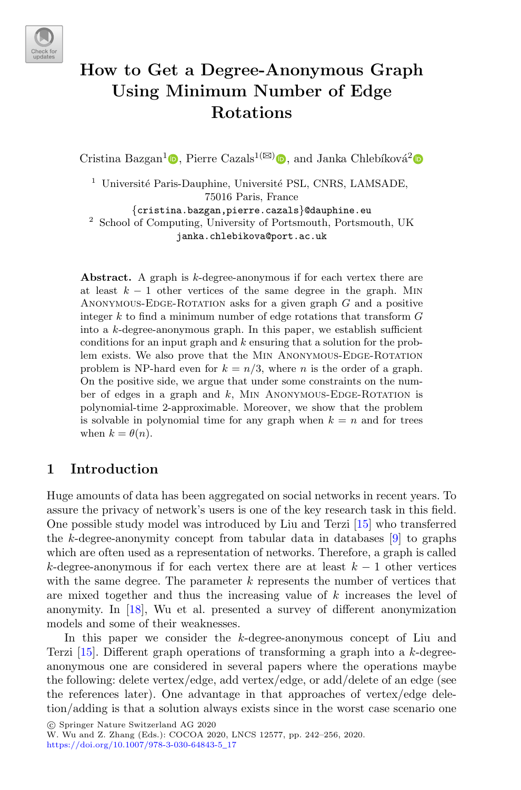

# **How to Get a Degree-Anonymous Graph Using Minimum Number of Edge Rotations**

Cristina Bazgan<sup>1</sup>  $\bullet$ [,](http://orcid.org/0000-0002-7681-476X) Pierre Cazals<sup>1( $\boxtimes$ </sup>)  $\bullet$ , and Janka Chlebíková<sup>[2](http://orcid.org/0000-0002-9493-2049)</sup>  $\bullet$ 

<sup>1</sup> Université Paris-Dauphine, Université PSL, CNRS, LAMSADE, 75016 Paris, France

{cristina.bazgan,pierre.cazals}@dauphine.eu <sup>2</sup> School of Computing, University of Portsmouth, Portsmouth, UK janka.chlebikova@port.ac.uk

Abstract. A graph is k-degree-anonymous if for each vertex there are at least  $k - 1$  other vertices of the same degree in the graph. MIN ANONYMOUS-EDGE-ROTATION asks for a given graph  $G$  and a positive integer  $k$  to find a minimum number of edge rotations that transform  $G$ into a  $k$ -degree-anonymous graph. In this paper, we establish sufficient conditions for an input graph and  $k$  ensuring that a solution for the problem exists. We also prove that the MIN ANONYMOUS-EDGE-ROTATION problem is NP-hard even for  $k = n/3$ , where *n* is the order of a graph. On the positive side, we argue that under some constraints on the number of edges in a graph and  $k$ , MIN ANONYMOUS-EDGE-ROTATION is polynomial-time 2-approximable. Moreover, we show that the problem is solvable in polynomial time for any graph when  $k = n$  and for trees when  $k = \theta(n)$ .

# **1 Introduction**

Huge amounts of data has been aggregated on social networks in recent years. To assure the privacy of network's users is one of the key research task in this field. One possible study model was introduced by Liu and Terzi [\[15](#page-14-0)] who transferred the k-degree-anonymity concept from tabular data in databases  $[9]$  $[9]$  to graphs which are often used as a representation of networks. Therefore, a graph is called k-degree-anonymous if for each vertex there are at least  $k-1$  other vertices with the same degree. The parameter  $k$  represents the number of vertices that are mixed together and thus the increasing value of k increases the level of anonymity. In [\[18](#page-14-2)], Wu et al. presented a survey of different anonymization models and some of their weaknesses.

In this paper we consider the k-degree-anonymous concept of Liu and Terzi  $[15]$ . Different graph operations of transforming a graph into a k-degreeanonymous one are considered in several papers where the operations maybe the following: delete vertex/edge, add vertex/edge, or add/delete of an edge (see the references later). One advantage in that approaches of vertex/edge deletion/adding is that a solution always exists since in the worst case scenario one

-c Springer Nature Switzerland AG 2020

W. Wu and Z. Zhang (Eds.): COCOA 2020, LNCS 12577, pp. 242–256, 2020. [https://doi.org/10.1007/978-3-030-64843-5](https://doi.org/10.1007/978-3-030-64843-5_17)\_17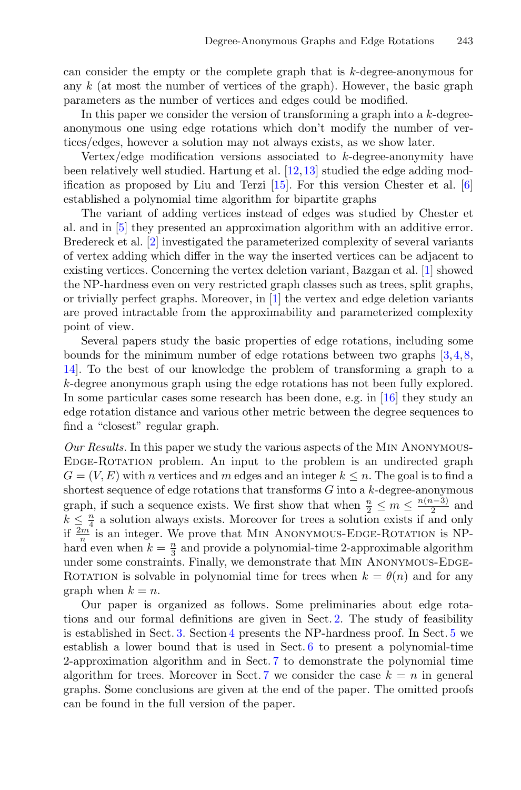can consider the empty or the complete graph that is k-degree-anonymous for any  $k$  (at most the number of vertices of the graph). However, the basic graph parameters as the number of vertices and edges could be modified.

In this paper we consider the version of transforming a graph into a  $k$ -degreeanonymous one using edge rotations which don't modify the number of vertices/edges, however a solution may not always exists, as we show later.

Vertex/edge modification versions associated to  $k$ -degree-anonymity have been relatively well studied. Hartung et al. [\[12](#page-14-3)[,13](#page-14-4)] studied the edge adding modification as proposed by Liu and Terzi [\[15](#page-14-0)]. For this version Chester et al. [\[6\]](#page-14-5) established a polynomial time algorithm for bipartite graphs

The variant of adding vertices instead of edges was studied by Chester et al. and in [\[5](#page-14-6)] they presented an approximation algorithm with an additive error. Bredereck et al. [\[2](#page-13-0)] investigated the parameterized complexity of several variants of vertex adding which differ in the way the inserted vertices can be adjacent to existing vertices. Concerning the vertex deletion variant, Bazgan et al. [\[1](#page-13-1)] showed the NP-hardness even on very restricted graph classes such as trees, split graphs, or trivially perfect graphs. Moreover, in [\[1\]](#page-13-1) the vertex and edge deletion variants are proved intractable from the approximability and parameterized complexity point of view.

Several papers study the basic properties of edge rotations, including some bounds for the minimum number of edge rotations between two graphs [\[3](#page-14-7),[4,](#page-14-8)[8,](#page-14-9) [14\]](#page-14-10). To the best of our knowledge the problem of transforming a graph to a k-degree anonymous graph using the edge rotations has not been fully explored. In some particular cases some research has been done, e.g. in [\[16\]](#page-14-11) they study an edge rotation distance and various other metric between the degree sequences to find a "closest" regular graph.

*Our Results.* In this paper we study the various aspects of the Min Anonymous-Edge-Rotation problem. An input to the problem is an undirected graph  $G = (V, E)$  with n vertices and m edges and an integer  $k \leq n$ . The goal is to find a shortest sequence of edge rotations that transforms  $G$  into a  $k$ -degree-anonymous graph, if such a sequence exists. We first show that when  $\frac{n}{2} \le m \le \frac{n(n-3)}{2}$  and  $k \leq \frac{n}{4}$  a solution always exists. Moreover for trees a solution exists if and only if  $\frac{2m}{n}$  is an integer. We prove that MIN ANONYMOUS-EDGE-ROTATION is NPhard even when  $k = \frac{n}{3}$  and provide a polynomial-time 2-approximable algorithm under some constraints. Finally, we demonstrate that Min Anonymous-Edge-ROTATION is solvable in polynomial time for trees when  $k = \theta(n)$  and for any graph when  $k = n$ .

Our paper is organized as follows. Some preliminaries about edge rotations and our formal definitions are given in Sect. [2.](#page-2-0) The study of feasibility is established in Sect. [3.](#page-3-0) Section [4](#page-5-0) presents the NP-hardness proof. In Sect. [5](#page-7-0) we establish a lower bound that is used in Sect. [6](#page-9-0) to present a polynomial-time 2-approximation algorithm and in Sect. [7](#page-11-0) to demonstrate the polynomial time algorithm for trees. Moreover in Sect. [7](#page-11-0) we consider the case  $k = n$  in general graphs. Some conclusions are given at the end of the paper. The omitted proofs can be found in the full version of the paper.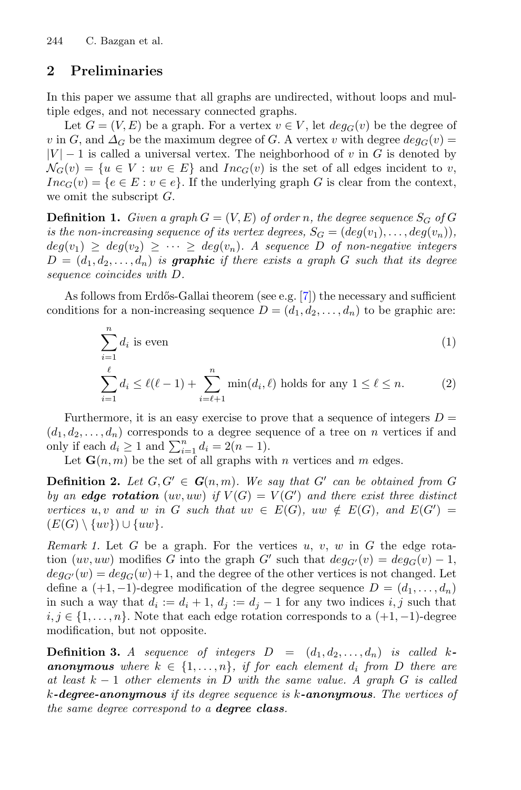# <span id="page-2-0"></span>**2 Preliminaries**

In this paper we assume that all graphs are undirected, without loops and multiple edges, and not necessary connected graphs.

Let  $G = (V, E)$  be a graph. For a vertex  $v \in V$ , let  $deg_G(v)$  be the degree of v in G, and  $\Delta_G$  be the maximum degree of G. A vertex v with degree  $deg_G(v)$  =  $|V| - 1$  is called a universal vertex. The neighborhood of v in G is denoted by  $\mathcal{N}_G(v) = \{u \in V : uv \in E\}$  and  $Inc_G(v)$  is the set of all edges incident to v,  $Inc_G(v) = \{e \in E : v \in e\}.$  If the underlying graph G is clear from the context, we omit the subscript  $G$ .

**Definition 1.** *Given a graph*  $G = (V, E)$  *of order n, the degree sequence*  $S_G$  *of*  $G$ *is the non-increasing sequence of its vertex degrees,*  $S_G = (deg(v_1), \ldots, deg(v_n))$ ,  $deg(v_1) \geq deg(v_2) \geq \cdots \geq deg(v_n)$ . A sequence D of non-negative integers  $D = (d_1, d_2, \ldots, d_n)$  *is graphic if there exists a graph* G *such that its degree sequence coincides with* D*.*

As follows from Erdős-Gallai theorem (see e.g.  $[7]$  $[7]$ ) the necessary and sufficient conditions for a non-increasing sequence  $D = (d_1, d_2, \ldots, d_n)$  to be graphic are:

<span id="page-2-2"></span><span id="page-2-1"></span>
$$
\sum_{i=1}^{n} d_i \text{ is even} \tag{1}
$$

$$
\sum_{i=1}^{\ell} d_i \le \ell(\ell-1) + \sum_{i=\ell+1}^{n} \min(d_i, \ell) \text{ holds for any } 1 \le \ell \le n.
$$
 (2)

Furthermore, it is an easy exercise to prove that a sequence of integers  $D =$  $(d_1, d_2, \ldots, d_n)$  corresponds to a degree sequence of a tree on n vertices if and only if each  $d_i \geq 1$  and  $\sum_{i=1}^n d_i = 2(n-1)$ .

Let  $\mathbf{G}(n,m)$  be the set of all graphs with n vertices and m edges.

**Definition 2.** Let  $G, G' \in G(n, m)$ . We say that  $G'$  can be obtained from G *by an edge rotation*  $(uv, uw)$  *if*  $V(G) = V(G')$  *and there exist three distinct vertices*  $u, v$  *and*  $w$  *in*  $G$  *such that*  $uv \in E(G)$ *,*  $uw \notin E(G)$ *, and*  $E(G') =$  $(E(G) \setminus \{uv\}) \cup \{uw\}.$ 

<span id="page-2-3"></span>*Remark 1.* Let  $G$  be a graph. For the vertices  $u, v, w$  in  $G$  the edge rotation  $(uv, uw)$  modifies G into the graph G' such that  $deg_{G'}(v) = deg_G(v) - 1$ ,  $deg_{G'}(w) = deg_G(w) + 1$ , and the degree of the other vertices is not changed. Let define a  $(+1,-1)$ -degree modification of the degree sequence  $D = (d_1,\ldots,d_n)$ in such a way that  $d_i := d_i + 1$ ,  $d_j := d_j - 1$  for any two indices  $i, j$  such that  $i, j \in \{1, \ldots, n\}$ . Note that each edge rotation corresponds to a  $(+1, -1)$ -degree modification, but not opposite.

**Definition 3.** *A sequence of integers*  $D = (d_1, d_2, \ldots, d_n)$  *is called k***anonymous** where  $k \in \{1, \ldots, n\}$ , if for each element  $d_i$  from D there are *at least* k − 1 *other elements in* D *with the same value. A graph* G *is called* k*-degree-anonymous if its degree sequence is* k*-anonymous. The vertices of the same degree correspond to a degree class.*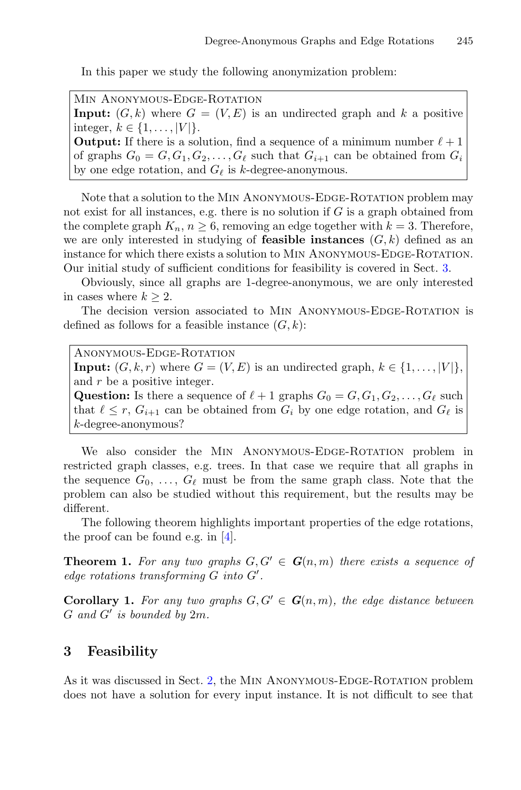In this paper we study the following anonymization problem:

MIN ANONYMOUS-EDGE-ROTATION **Input:**  $(G, k)$  where  $G = (V, E)$  is an undirected graph and k a positive integer,  $k \in \{1, ..., |V|\}.$ **Output:** If there is a solution, find a sequence of a minimum number  $\ell + 1$ of graphs  $G_0 = G, G_1, G_2, \ldots, G_\ell$  such that  $G_{i+1}$  can be obtained from  $G_i$ by one edge rotation, and  $G_{\ell}$  is k-degree-anonymous.

Note that a solution to the MIN ANONYMOUS-EDGE-ROTATION problem may not exist for all instances, e.g. there is no solution if  $G$  is a graph obtained from the complete graph  $K_n$ ,  $n \geq 6$ , removing an edge together with  $k = 3$ . Therefore, we are only interested in studying of **feasible instances**  $(G, k)$  defined as an instance for which there exists a solution to Min Anonymous-Edge-Rotation. Our initial study of sufficient conditions for feasibility is covered in Sect. [3.](#page-3-0)

Obviously, since all graphs are 1-degree-anonymous, we are only interested in cases where  $k > 2$ .

The decision version associated to MIN ANONYMOUS-EDGE-ROTATION is defined as follows for a feasible instance  $(G, k)$ :

Anonymous-Edge-Rotation **Input:**  $(G, k, r)$  where  $G = (V, E)$  is an undirected graph,  $k \in \{1, \ldots, |V|\}$ , and r be a positive integer. **Question:** Is there a sequence of  $\ell + 1$  graphs  $G_0 = G, G_1, G_2, \ldots, G_\ell$  such that  $\ell \leq r$ ,  $G_{i+1}$  can be obtained from  $G_i$  by one edge rotation, and  $G_{\ell}$  is k-degree-anonymous?

We also consider the MIN ANONYMOUS-EDGE-ROTATION problem in restricted graph classes, e.g. trees. In that case we require that all graphs in the sequence  $G_0, \ldots, G_\ell$  must be from the same graph class. Note that the problem can also be studied without this requirement, but the results may be different.

The following theorem highlights important properties of the edge rotations, the proof can be found e.g. in [\[4](#page-14-8)].

**Theorem 1.** For any two graphs  $G, G' \in G(n,m)$  there exists a sequence of *edge rotations transforming* G *into* G *.*

**Corollary 1.** For any two graphs  $G, G' \in G(n, m)$ , the edge distance between  $G$  and  $G'$  is bounded by  $2m$ .

#### <span id="page-3-0"></span>**3 Feasibility**

As it was discussed in Sect. [2,](#page-2-0) the Min Anonymous-Edge-Rotation problem does not have a solution for every input instance. It is not difficult to see that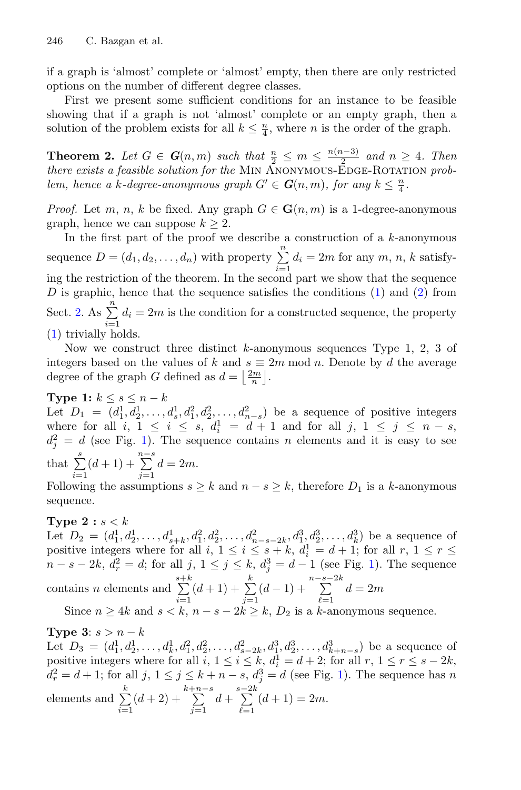if a graph is 'almost' complete or 'almost' empty, then there are only restricted options on the number of different degree classes.

First we present some sufficient conditions for an instance to be feasible showing that if a graph is not 'almost' complete or an empty graph, then a solution of the problem exists for all  $k \leq \frac{n}{4}$ , where *n* is the order of the graph.

**Theorem 2.** *Let*  $G \in G(n,m)$  *such that*  $\frac{n}{2} \leq m \leq \frac{n(n-3)}{2}$  *and*  $n \geq 4$ *. Then there exists a feasible solution for the MIN ANONYMOUS-EDGE-ROTATION problem, hence a k-degree-anonymous graph*  $G' \in G(n, m)$ *, for any*  $k \leq \frac{n}{4}$ *.* 

*Proof.* Let m, n, k be fixed. Any graph  $G \in \mathbf{G}(n,m)$  is a 1-degree-anonymous graph, hence we can suppose  $k \geq 2$ .

In the first part of the proof we describe a construction of a  $k$ -anonymous sequence  $D = (d_1, d_2, \ldots, d_n)$  with property  $\sum_{i=1}^{n} d_i = 2m$  for any  $m, n, k$  satisfying the restriction of the theorem. In the second part we show that the sequence D is graphic, hence that the sequence satisfies the conditions  $(1)$  and  $(2)$  from Sect. [2.](#page-2-0) As  $\sum_{i=1}^{n} d_i = 2m$  is the condition for a constructed sequence, the property [\(1\)](#page-2-1) trivially holds.

Now we construct three distinct  $k$ -anonymous sequences Type 1, 2, 3 of integers based on the values of k and  $s \equiv 2m \mod n$ . Denote by d the average degree of the graph G defined as  $d = \left\lfloor \frac{2m}{n} \right\rfloor$ .

**Type 1:**  $k \leq s \leq n - k$ 

Let  $D_1 = (d_1^1, d_2^1, \ldots, d_s^1, d_1^2, d_2^2, \ldots, d_{n-s}^2)$  be a sequence of positive integers where for all  $i, 1 \leq i \leq s, d_i^1 = d + 1$  and for all  $j, 1 \leq j \leq n - s$ ,  $d_j^2 = d$  (see Fig. [1\)](#page-5-1). The sequence contains n elements and it is easy to see that  $\sum_{i=1}^{s} (d+1) + \sum_{j=1}^{n-s}$  $d=2m$ .

Following the assumptions  $s \geq k$  and  $n - s \geq k$ , therefore  $D_1$  is a k-anonymous sequence.

#### **Type 2** :  $s < k$

Let  $D_2 = (d_1^1, d_2^1, \ldots, d_{s+k}^1, d_1^2, d_2^2, \ldots, d_{n-s-2k}^2, d_1^3, d_2^3, \ldots, d_k^3)$  be a sequence of positive integers where for all  $i, 1 \leq i \leq s+k, d_i^1 = d+1$ ; for all  $r, 1 \leq r \leq$  $n - s - 2k$ ,  $d_r^2 = d$ ; for all  $j, 1 \le j \le k$ ,  $d_j^3 = d - 1$  (see Fig. [1\)](#page-5-1). The sequence contains *n* elements and  $\sum_{n=1}^{s+k}$  $\sum_{i=1}^{s+k} (d+1) + \sum_{j=1}^{k}$  $\sum_{j=1}^{k} (d-1) + \sum_{\ell=1}^{n-s-2k}$  $d=2m$ 

Since  $n \geq 4k$  and  $s < k$ ,  $n - s - 2k \geq k$ ,  $D_2$  is a k-anonymous sequence.

**Type 3**:  $s > n - k$ Let  $D_3 = (d_1^1, d_2^1, \ldots, d_k^1, d_1^2, d_2^2, \ldots, d_{s-2k}^2, d_1^3, d_2^3, \ldots, d_{k+n-s}^3)$  be a sequence of positive integers where for all  $i, 1 \leq i \leq k, d_i^1 = d + 2$ ; for all  $r, 1 \leq r \leq s - 2k$ ,  $d_r^2 = d + 1$ ; for all  $j, 1 \le j \le k + n - s$ ,  $d_j^3 = d$  (see Fig. [1\)](#page-5-1). The sequence has n elements and  $\sum_{k=1}^{k}$  $i=1$  $(d+2) + \sum_{j=1}^{k+n-s}$  $d+\sum_{n=1}^{s-2k}$  $_{\ell=1}$  $(d+1) = 2m$ .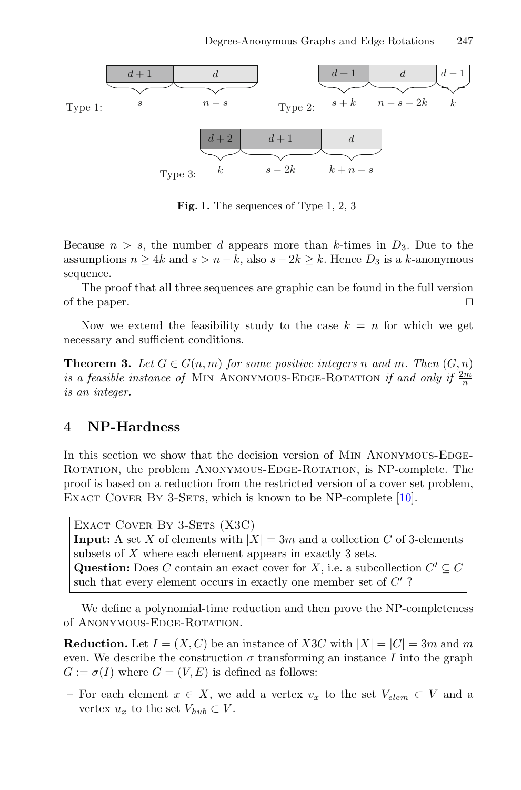

<span id="page-5-1"></span>**Fig. 1.** The sequences of Type 1, 2, 3

Because  $n > s$ , the number d appears more than k-times in  $D_3$ . Due to the assumptions  $n \geq 4k$  and  $s > n - k$ , also  $s - 2k \geq k$ . Hence  $D_3$  is a k-anonymous sequence.

The proof that all three sequences are graphic can be found in the full version of the paper.  $\Box$ 

<span id="page-5-2"></span>Now we extend the feasibility study to the case  $k = n$  for which we get necessary and sufficient conditions.

**Theorem 3.** Let  $G \in G(n,m)$  for some positive integers n and m. Then  $(G, n)$ *is a feasible instance of* MIN ANONYMOUS-EDGE-ROTATION *if and only if*  $\frac{2m}{n}$ *is an integer.*

### <span id="page-5-0"></span>**4 NP-Hardness**

In this section we show that the decision version of MIN ANONYMOUS-EDGE-Rotation, the problem Anonymous-Edge-Rotation, is NP-complete. The proof is based on a reduction from the restricted version of a cover set problem, EXACT COVER BY 3-SETS, which is known to be NP-complete [\[10](#page-14-13)].

EXACT COVER BY 3-SETS (X3C) **Input:** A set X of elements with  $|X| = 3m$  and a collection C of 3-elements subsets of X where each element appears in exactly 3 sets. **Question:** Does C contain an exact cover for X, i.e. a subcollection  $C' \subseteq C$ such that every element occurs in exactly one member set of  $C^{\prime}$ ?

We define a polynomial-time reduction and then prove the NP-completeness of ANONYMOUS-EDGE-ROTATION.

**Reduction.** Let  $I = (X, C)$  be an instance of X3C with  $|X| = |C| = 3m$  and m even. We describe the construction  $\sigma$  transforming an instance I into the graph  $G := \sigma(I)$  where  $G = (V, E)$  is defined as follows:

– For each element  $x \in X$ , we add a vertex  $v_x$  to the set  $V_{elem} \subset V$  and a vertex  $u_x$  to the set  $V_{hub} \subset V$ .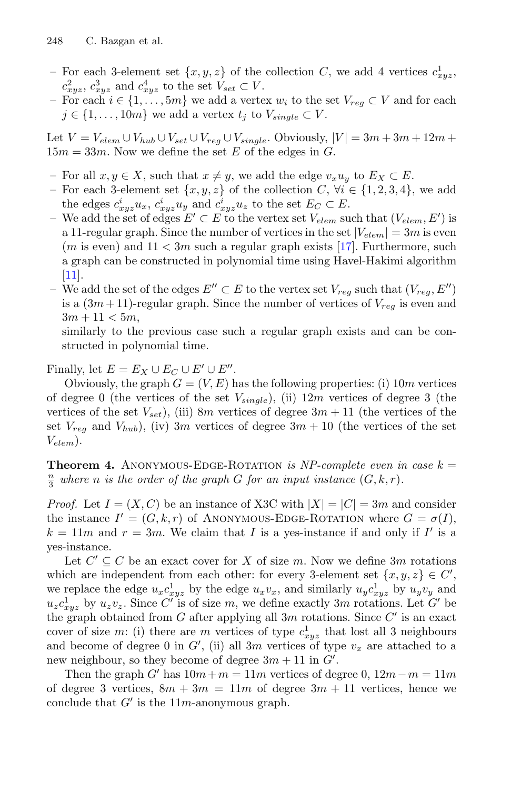- For each 3-element set  $\{x, y, z\}$  of the collection C, we add 4 vertices  $c_{xyz}^1$ ,  $c_{xyz}^2$ ,  $c_{xyz}^3$  and  $c_{xyz}^4$  to the set  $V_{set} \subset V$ .
- For each  $i \in \{1, \ldots, 5m\}$  we add a vertex  $w_i$  to the set  $V_{req} \subset V$  and for each  $j \in \{1, \ldots, 10m\}$  we add a vertex  $t_j$  to  $V_{single} \subset V$ .

Let  $V = V_{elem} \cup V_{hub} \cup V_{set} \cup V_{req} \cup V_{single}$ . Obviously,  $|V| = 3m + 3m + 12m +$  $15m = 33m$ . Now we define the set E of the edges in G.

- For all  $x, y \in X$ , such that  $x \neq y$ , we add the edge  $v_xu_y$  to  $E_X \subset E$ .
- For each 3-element set  $\{x, y, z\}$  of the collection C,  $\forall i \in \{1, 2, 3, 4\}$ , we add the edges  $c_{xyz}^i u_x$ ,  $c_{xyz}^i u_y$  and  $c_{xyz}^i u_z$  to the set  $E_C \subset E$ .
- We add the set of edges  $E' \subset E$  to the vertex set  $V_{elem}$  such that  $(V_{elem}, E')$  is a 11-regular graph. Since the number of vertices in the set  $|V_{elem}| = 3m$  is even  $(m \text{ is even})$  and  $11 < 3m$  such a regular graph exists [\[17\]](#page-14-14). Furthermore, such a graph can be constructed in polynomial time using Havel-Hakimi algorithm [\[11](#page-14-15)].
- We add the set of the edges  $E'' ⊂ E$  to the vertex set  $V_{reg}$  such that  $(V_{reg}, E'')$ is a  $(3m+11)$ -regular graph. Since the number of vertices of  $V_{rea}$  is even and  $3m + 11 < 5m$ ,

similarly to the previous case such a regular graph exists and can be constructed in polynomial time.

Finally, let  $E = E_X \cup E_C \cup E' \cup E''$ .

Obviously, the graph  $G = (V, E)$  has the following properties: (i) 10m vertices of degree 0 (the vertices of the set  $V_{single}$ ), (ii)  $12m$  vertices of degree 3 (the vertices of the set  $V_{set}$ ), (iii) 8m vertices of degree  $3m + 11$  (the vertices of the set  $V_{reg}$  and  $V_{hub}$ ), (iv) 3m vertices of degree 3m + 10 (the vertices of the set  $V_{elem}$ ).

**Theorem 4.** ANONYMOUS-EDGE-ROTATION *is NP-complete even in case*  $k =$  $\frac{n}{3}$  where *n* is the order of the graph *G* for an input instance  $(G, k, r)$ *.* 

*Proof.* Let  $I = (X, C)$  be an instance of X3C with  $|X| = |C| = 3m$  and consider the instance  $I' = (G, k, r)$  of ANONYMOUS-EDGE-ROTATION where  $G = \sigma(I)$ ,  $k = 11m$  and  $r = 3m$ . We claim that I is a yes-instance if and only if I' is a yes-instance.

Let  $C' \subseteq C$  be an exact cover for X of size m. Now we define 3m rotations which are independent from each other: for every 3-element set  $\{x, y, z\} \in C'$ , we replace the edge  $u_x c_{xyz}^1$  by the edge  $u_x v_x$ , and similarly  $u_y c_{xyz}^1$  by  $u_y v_y$  and  $u_z c_{xyz}^1$  by  $u_z v_z$ . Since C' is of size m, we define exactly 3m rotations. Let G' be the graph obtained from  $G$  after applying all  $3m$  rotations. Since  $C'$  is an exact cover of size m: (i) there are m vertices of type  $c_{xyz}^1$  that lost all 3 neighbours and become of degree 0 in  $G'$ , (ii) all 3m vertices of type  $v_x$  are attached to a new neighbour, so they become of degree  $3m + 11$  in  $G'$ .

Then the graph G' has  $10m+m = 11m$  vertices of degree 0,  $12m-m = 11m$ of degree 3 vertices,  $8m + 3m = 11m$  of degree  $3m + 11$  vertices, hence we conclude that  $G'$  is the 11m-anonymous graph.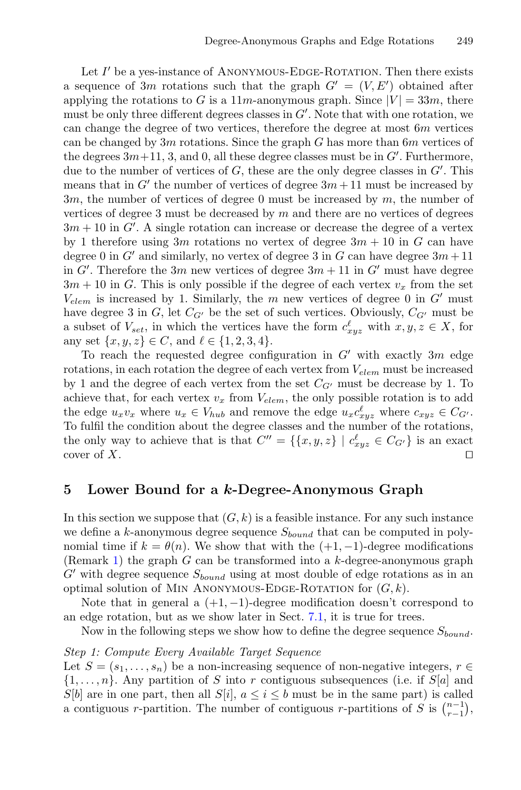Let  $I'$  be a yes-instance of ANONYMOUS-EDGE-ROTATION. Then there exists a sequence of 3m rotations such that the graph  $G' = (V, E')$  obtained after applying the rotations to G is a  $11m$ -anonymous graph. Since  $|V| = 33m$ , there must be only three different degrees classes in  $G'$ . Note that with one rotation, we can change the degree of two vertices, therefore the degree at most  $6m$  vertices can be changed by  $3m$  rotations. Since the graph G has more than  $6m$  vertices of the degrees  $3m+11$ , 3, and 0, all these degree classes must be in  $G'$ . Furthermore, due to the number of vertices of  $G$ , these are the only degree classes in  $G'$ . This means that in G' the number of vertices of degree  $3m + 11$  must be increased by  $3m$ , the number of vertices of degree 0 must be increased by  $m$ , the number of vertices of degree 3 must be decreased by  $m$  and there are no vertices of degrees  $3m + 10$  in G'. A single rotation can increase or decrease the degree of a vertex by 1 therefore using 3m rotations no vertex of degree  $3m + 10$  in G can have degree 0 in G' and similarly, no vertex of degree 3 in G can have degree  $3m + 11$ in  $G'$ . Therefore the 3m new vertices of degree  $3m + 11$  in  $G'$  must have degree  $3m + 10$  in G. This is only possible if the degree of each vertex  $v_x$  from the set  $V_{elem}$  is increased by 1. Similarly, the m new vertices of degree 0 in  $G'$  must have degree 3 in  $G$ , let  $C_{G'}$  be the set of such vertices. Obviously,  $C_{G'}$  must be a subset of  $V_{set}$ , in which the vertices have the form  $c_{xyz}^{\ell}$  with  $x, y, z \in X$ , for any set  $\{x, y, z\} \in C$ , and  $\ell \in \{1, 2, 3, 4\}.$ 

To reach the requested degree configuration in  $G'$  with exactly  $3m$  edge rotations, in each rotation the degree of each vertex from  $V_{elem}$  must be increased by 1 and the degree of each vertex from the set  $C_{G'}$  must be decrease by 1. To achieve that, for each vertex  $v_x$  from  $V_{elem}$ , the only possible rotation is to add the edge  $u_xv_x$  where  $u_x \in V_{hub}$  and remove the edge  $u_xc_{xyz}^{\ell}$  where  $c_{xyz} \in C_{G'}$ . To fulfil the condition about the degree classes and the number of the rotations, the only way to achieve that is that  $C'' = \{\{x, y, z\} \mid c_{xyz}^{\ell} \in C_{G'}\}$  is an exact cover of  $X$ .

### <span id="page-7-0"></span>**5 Lower Bound for a** *k***-Degree-Anonymous Graph**

In this section we suppose that  $(G, k)$  is a feasible instance. For any such instance we define a k-anonymous degree sequence  $S_{bound}$  that can be computed in polynomial time if  $k = \theta(n)$ . We show that with the  $(+1, -1)$ -degree modifications (Remark [1\)](#page-2-3) the graph  $G$  can be transformed into a k-degree-anonymous graph  $G'$  with degree sequence  $S_{bound}$  using at most double of edge rotations as in an optimal solution of MIN ANONYMOUS-EDGE-ROTATION for  $(G, k)$ .

Note that in general a  $(+1,-1)$ -degree modification doesn't correspond to an edge rotation, but as we show later in Sect. [7.1,](#page-11-1) it is true for trees.

Now in the following steps we show how to define the degree sequence  $S_{bound}$ .

#### *Step 1: Compute Every Available Target Sequence*

Let  $S = (s_1, \ldots, s_n)$  be a non-increasing sequence of non-negative integers,  $r \in$  $\{1,\ldots,n\}$ . Any partition of S into r contiguous subsequences (i.e. if S[a] and  $S[b]$  are in one part, then all  $S[i], a \leq i \leq b$  must be in the same part) is called a contiguous r-partition. The number of contiguous r-partitions of  $S$  is  $\binom{n-1}{r-1}$ ,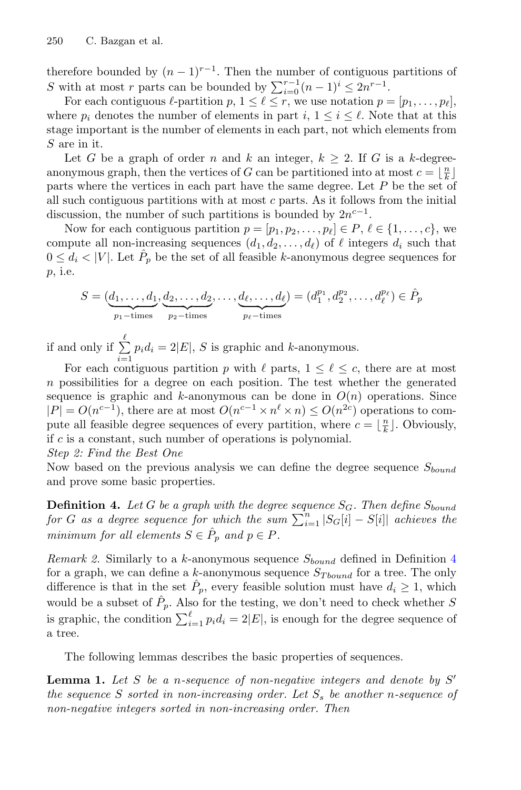therefore bounded by  $(n-1)^{r-1}$ . Then the number of contiguous partitions of S with at most r parts can be bounded by  $\sum_{i=0}^{r-1} (n-1)^i \leq 2n^{r-1}$ .

For each contiguous  $\ell$ -partition  $p, 1 \leq \ell \leq r$ , we use notation  $p = [p_1, \ldots, p_\ell]$ , where  $p_i$  denotes the number of elements in part  $i, 1 \leq i \leq \ell$ . Note that at this stage important is the number of elements in each part, not which elements from S are in it.

Let G be a graph of order n and k an integer,  $k \geq 2$ . If G is a k-degreeanonymous graph, then the vertices of G can be partitioned into at most  $c = \lfloor \frac{n}{k} \rfloor$ parts where the vertices in each part have the same degree. Let P be the set of all such contiguous partitions with at most c parts. As it follows from the initial discussion, the number of such partitions is bounded by  $2n^{c-1}$ .

Now for each contiguous partition  $p = [p_1, p_2, \ldots, p_\ell] \in P, \ell \in \{1, \ldots, c\}$ , we compute all non-increasing sequences  $(d_1, d_2, \ldots, d_\ell)$  of  $\ell$  integers  $d_i$  such that  $0 \leq d_i < |V|$ . Let  $\hat{P}_p$  be the set of all feasible k-anonymous degree sequences for p, i.e.

$$
S = (\underbrace{d_1, \dots, d_1}_{p_1 - \text{times}}, \underbrace{d_2, \dots, d_2}_{p_2 - \text{times}}, \dots, \underbrace{d_\ell, \dots, d_\ell}_{p_\ell - \text{times}}) = (d_1^{p_1}, d_2^{p_2}, \dots, d_\ell^{p_\ell}) \in \hat{P}_p
$$

if and only if  $\sum^{\ell}$  $\sum_{i=1} p_i d_i = 2|E|$ , S is graphic and k-anonymous.

For each contiguous partition p with  $\ell$  parts,  $1 \leq \ell \leq c$ , there are at most  $n$  possibilities for a degree on each position. The test whether the generated sequence is graphic and k-anonymous can be done in  $O(n)$  operations. Since  $|P| = O(n^{c-1})$ , there are at most  $O(n^{c-1} \times n^{\ell} \times n) \leq O(n^{2c})$  operations to compute all feasible degree sequences of every partition, where  $c = \lfloor \frac{n}{k} \rfloor$ . Obviously, if  $c$  is a constant, such number of operations is polynomial.

#### *Step 2: Find the Best One*

<span id="page-8-0"></span>Now based on the previous analysis we can define the degree sequence  $S_{bound}$ and prove some basic properties.

**Definition 4.** Let G be a graph with the degree sequence  $S_G$ . Then define  $S_{bound}$  $for\ G\ as\ a\ degree\ sequence\ for\ which\ the\ sum\ \sum_{i=1}^n |S_G[i]-S[i]|$  achieves the *minimum for all elements*  $S \in \hat{P}_p$  *and*  $p \in P$ *.* 

*Remark 2.* Similarly to a k-anonymous sequence  $S_{bound}$  defined in Definition [4](#page-8-0) for a graph, we can define a k-anonymous sequence  $S_{Tbound}$  for a tree. The only difference is that in the set  $P_p$ , every feasible solution must have  $d_i \geq 1$ , which would be a subset of  $\hat{P}_p$ . Also for the testing, we don't need to check whether S is graphic, the condition  $\sum_{i=1}^{\ell} p_i d_i = 2|E|$ , is enough for the degree sequence of a tree.

<span id="page-8-1"></span>The following lemmas describes the basic properties of sequences.

**Lemma 1.** *Let* S *be a* n*-sequence of non-negative integers and denote by* S *the sequence* S *sorted in non-increasing order. Let*  $S_s$  *be another n-sequence of non-negative integers sorted in non-increasing order. Then*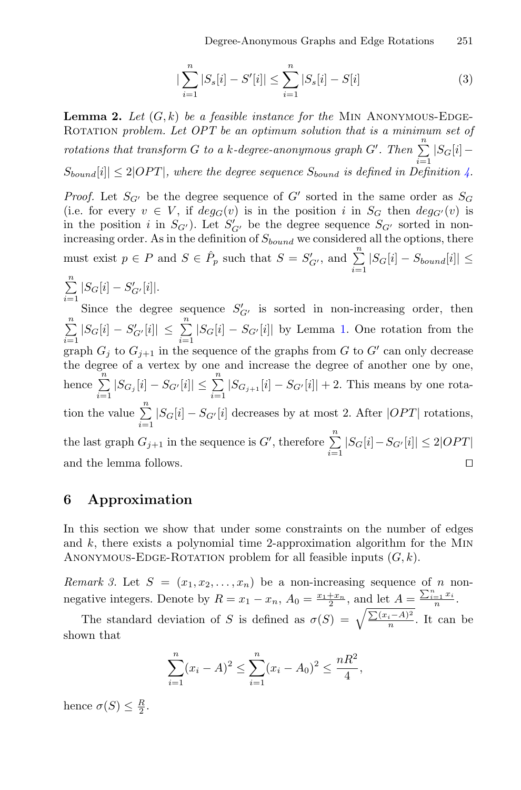$$
|\sum_{i=1}^{n} |S_s[i] - S'[i]| \le \sum_{i=1}^{n} |S_s[i] - S[i]
$$
 (3)

<span id="page-9-2"></span>**Lemma 2.** Let  $(G, k)$  be a feasible instance for the MIN ANONYMOUS-EDGE-ROTATION *problem. Let OPT* be an optimum solution that is a minimum set of *rotations that transform* G *to a* k-degree-anonymous graph G'. Then  $\sum_{i=1}^{n} |S_G[i] S_{bound}[i] \leq 2|OPT|$ , where the degree sequence  $S_{bound}$  is defined in Definition [4.](#page-8-0)

*Proof.* Let  $S_{G'}$  be the degree sequence of G' sorted in the same order as  $S_G$ (i.e. for every  $v \in V$ , if  $deg_G(v)$  is in the position i in  $S_G$  then  $deg_{G'}(v)$  is in the position *i* in  $S_{G'}$ ). Let  $S'_{G'}$  be the degree sequence  $S_{G'}$  sorted in nonincreasing order. As in the definition of  $S_{bound}$  we considered all the options, there must exist  $p \in P$  and  $S \in \hat{P}_p$  such that  $S = S'_{G'}$ , and  $\sum_{i=1}^{n} |S_G[i] - S_{bound}[i]| \le$ 

$$
\sum_{i=1}^{n} |S_G[i] - S'_{G'}[i]|.
$$

Since the degree sequence  $S'_{G'}$  is sorted in non-increasing order, then  $\sum_{i=1}^{n} |S_G[i] - S'_{G'}[i]| \leq \sum_{i=1}^{n} |S_G[i] - S_{G'}[i]|$  by Lemma [1.](#page-8-1) One rotation from the graph  $G_i$  to  $G_{i+1}$  in the sequence of the graphs from G to G' can only decrease the degree of a vertex by one and increase the degree of another one by one, hence  $\sum_{i=1}^{n} |S_{G_j}[i] - S_{G'}[i]| \le \sum_{i=1}^{n} |S_{G_{j+1}}[i] - S_{G'}[i]| + 2$ . This means by one rotation the value  $\sum_{i=1}^{n} |S_G[i] - S_{G'}[i]$  decreases by at most 2. After  $|OPT|$  rotations,  $i=1$ the last graph  $G_{j+1}$  in the sequence is  $G'$ , therefore  $\sum_{i=1}^{n} |S_G[i] - S_{G'}[i]| \leq 2|OPT|$ and the lemma follows.

# <span id="page-9-0"></span>**6 Approximation**

In this section we show that under some constraints on the number of edges and  $k$ , there exists a polynomial time 2-approximation algorithm for the MIN ANONYMOUS-EDGE-ROTATION problem for all feasible inputs  $(G, k)$ .

<span id="page-9-1"></span>*Remark 3.* Let  $S = (x_1, x_2, \ldots, x_n)$  be a non-increasing sequence of n nonnegative integers. Denote by  $R = x_1 - x_n$ ,  $A_0 = \frac{x_1 + x_n}{2}$ , and let  $A = \frac{\sum_{i=1}^n x_i}{n}$ .

The standard deviation of S is defined as  $\sigma(S) = \sqrt{\frac{\sum (x_i - A)^2}{n}}$ . It can be shown that

$$
\sum_{i=1}^{n} (x_i - A)^2 \le \sum_{i=1}^{n} (x_i - A_0)^2 \le \frac{nR^2}{4},
$$

hence  $\sigma(S) \leq \frac{R}{2}$ .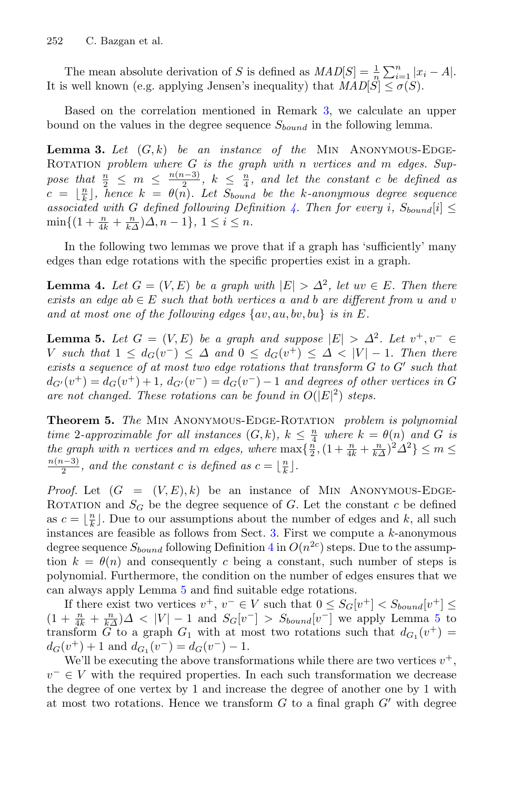The mean absolute derivation of S is defined as  $MAD[S] = \frac{1}{n} \sum_{i=1}^{n} |x_i - A|$ . It is well known (e.g. applying Jensen's inequality) that  $MAD[\tilde{S}] < \sigma(S)$ .

Based on the correlation mentioned in Remark [3,](#page-9-1) we calculate an upper bound on the values in the degree sequence  $S_{bound}$  in the following lemma.

**Lemma 3.** Let  $(G, k)$  be an instance of the MIN ANONYMOUS-EDGE-ROTATION *problem where* G *is the graph with* n *vertices* and m *edges.* Suppose that  $\frac{n}{2} \leq m \leq \frac{n(n-3)}{2}, k \leq \frac{n}{4}$ , and let the constant c be defined as  $c = \lfloor \frac{n}{k} \rfloor$ , hence  $k = \theta(n)$ . Let  $S_{bound}$  be the k-anonymous degree sequence *associated with* G *defined following Definition* [4.](#page-8-0) Then for every *i*,  $S_{bound}[i] \leq$  $\min\{(1+\frac{n}{4k}+\frac{n}{k\Delta})\Delta, n-1\}, 1 \leq i \leq n.$ 

<span id="page-10-1"></span>In the following two lemmas we prove that if a graph has 'sufficiently' many edges than edge rotations with the specific properties exist in a graph.

**Lemma 4.** Let  $G = (V, E)$  be a graph with  $|E| > \Delta^2$ , let  $uv \in E$ . Then there *exists an edge ab*  $\in$  *E such that both vertices a and b are different from u and v and at most one of the following edges* {av, au, bv, bu} *is in* E*.*

<span id="page-10-0"></span>**Lemma 5.** Let  $G = (V, E)$  be a graph and suppose  $|E| > \Delta^2$ . Let  $v^+, v^- \in$ V such that  $1 \leq d_G(v^-) \leq \Delta$  and  $0 \leq d_G(v^+) \leq \Delta < |V|-1$ . Then there *exists a sequence of at most two edge rotations that transform*  $G$  *to*  $G'$  *such that*  $d_{G'}(v^+) = d_G(v^+) + 1, d_{G'}(v^-) = d_G(v^-) - 1$  and degrees of other vertices in G are not changed. These rotations can be found in  $O(|E|^2)$  steps.

**Theorem 5.** *The* Min Anonymous-Edge-Rotation *problem is polynomial time* 2-approximable for all instances  $(G, k)$ ,  $k \leq \frac{n}{4}$  where  $k = \theta(n)$  and G is *the graph with n vertices* and *m edges, where*  $\max{\{\frac{n}{2}, (1 + \frac{n}{4k} + \frac{n}{k\Delta})^2 \Delta^2\}} \le m \le \frac{n(n-3)}{2}$ , and the constant c is defined as  $c = |\frac{n}{2}|$ .  $\frac{a-3}{2}$ , and the constant c is defined as  $c = \lfloor \frac{n}{k} \rfloor$ .

*Proof.* Let  $(G = (V, E), k)$  be an instance of MIN ANONYMOUS-EDGE-ROTATION and  $S_G$  be the degree sequence of G. Let the constant c be defined as  $c = \lfloor \frac{n}{k} \rfloor$ . Due to our assumptions about the number of edges and k, all such instances are feasible as follows from Sect.  $3$ . First we compute a  $k$ -anonymous degree sequence  $S_{bound}$  following Definition [4](#page-8-0) in  $O(n^{2c})$  steps. Due to the assumption  $k = \theta(n)$  and consequently c being a constant, such number of steps is polynomial. Furthermore, the condition on the number of edges ensures that we can always apply Lemma [5](#page-10-0) and find suitable edge rotations.

If there exist two vertices  $v^+, v^- \in V$  such that  $0 \leq S_G[v^+] \leq S_{bound}[v^+] \leq$  $(1 + \frac{n}{4k} + \frac{n}{k\Delta})\Delta < |V| - 1$  and  $S_G[v^-] > S_{bound}[v^-]$  we apply Lemma [5](#page-10-0) to transform G to a graph  $G_1$  with at most two rotations such that  $d_{G_1}(v^+)$  =  $d_G(v^+) + 1$  and  $d_{G_1}(v^-) = d_G(v^-) - 1$ .

We'll be executing the above transformations while there are two vertices  $v^+$ ,  $v^- \in V$  with the required properties. In each such transformation we decrease the degree of one vertex by 1 and increase the degree of another one by 1 with at most two rotations. Hence we transform  $G$  to a final graph  $G'$  with degree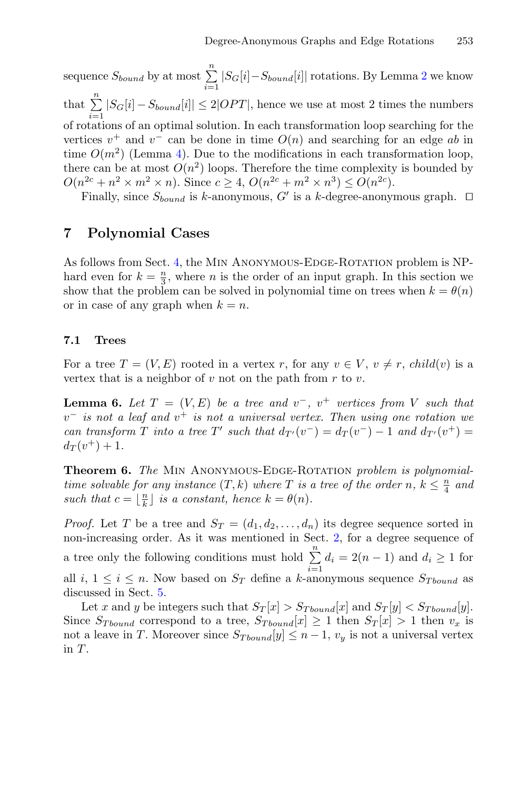sequence  $S_{bound}$  by at most  $\sum_{i=1}^{n} |S_G[i] - S_{bound}[i]|$  rotations. By Lemma [2](#page-9-2) we know that  $\sum_{i=1}^{n} |S_G[i] - S_{bound}[i]| \leq 2|OPT|$ , hence we use at most 2 times the numbers of rotations of an optimal solution. In each transformation loop searching for the vertices  $v^+$  and  $v^-$  can be done in time  $O(n)$  and searching for an edge ab in time  $O(m^2)$  (Lemma [4\)](#page-10-1). Due to the modifications in each transformation loop, there can be at most  $O(n^2)$  loops. Therefore the time complexity is bounded by  $O(n^{2c} + n^2 \times m^2 \times n)$ . Since  $c \geq 4$ ,  $O(n^{2c} + m^2 \times n^3) \leq O(n^{2c})$ .

Finally, since  $S_{bound}$  is k-anonymous, G' is a k-degree-anonymous graph.  $\Box$ 

# <span id="page-11-0"></span>**7 Polynomial Cases**

As follows from Sect. [4,](#page-5-0) the MIN ANONYMOUS-EDGE-ROTATION problem is NPhard even for  $k = \frac{n}{3}$ , where *n* is the order of an input graph. In this section we show that the problem can be solved in polynomial time on trees when  $k = \theta(n)$ or in case of any graph when  $k = n$ .

#### <span id="page-11-1"></span>**7.1 Trees**

<span id="page-11-2"></span>For a tree  $T = (V, E)$  rooted in a vertex r, for any  $v \in V$ ,  $v \neq r$ , child $(v)$  is a vertex that is a neighbor of  $v$  not on the path from  $r$  to  $v$ .

**Lemma 6.** Let  $T = (V, E)$  be a tree and  $v^-, v^+$  vertices from V such that v<sup>−</sup> *is not a leaf and* v<sup>+</sup> *is not a universal vertex. Then using one rotation we can transform*  $T$  *into a tree*  $T'$  *such that*  $d_{T'}(v^-) = d_T(v^-) - 1$  *and*  $d_{T'}(v^+) =$  $d_T(v^+)+1$ .

**Theorem 6.** *The* Min Anonymous-Edge-Rotation *problem is polynomialtime solvable for any instance*  $(T, k)$  *where*  $T$  *is a tree of the order*  $n, k \leq \frac{n}{4}$  *and such that*  $c = \lfloor \frac{n}{k} \rfloor$  *is a constant, hence*  $k = \theta(n)$ *.* 

*Proof.* Let T be a tree and  $S_T = (d_1, d_2, \ldots, d_n)$  its degree sequence sorted in non-increasing order. As it was mentioned in Sect. [2,](#page-2-0) for a degree sequence of a tree only the following conditions must hold  $\sum_{i=1}^{n} d_i = 2(n-1)$  and  $d_i \ge 1$  for all i,  $1 \leq i \leq n$ . Now based on  $S_T$  define a k-anonymous sequence  $S_{Tbound}$  as discussed in Sect. [5.](#page-7-0)

Let x and y be integers such that  $S_T[x] > S_{Tbound}[x]$  and  $S_T[y] < S_{Tbound}[y]$ . Since  $S_{Tbound}$  correspond to a tree,  $S_{Tbound}[x] \ge 1$  then  $S_T[x] > 1$  then  $v_x$  is not a leave in T. Moreover since  $S_{Tbound}[y] \leq n-1$ ,  $v_y$  is not a universal vertex in T.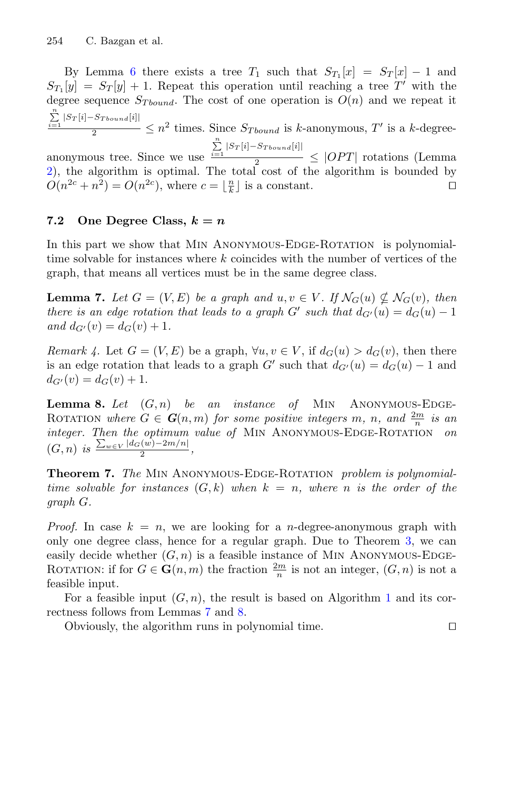By Lemma [6](#page-11-2) there exists a tree  $T_1$  such that  $S_{T_1}[x] = S_T[x] - 1$  and  $S_{T_1}[y] = S_T[y] + 1$ . Repeat this operation until reaching a tree T' with the degree sequence  $S_{Tbound}$ . The cost of one operation is  $O(n)$  and we repeat it  $\sum_{n=1}^{\infty}$  $\frac{\sum\limits_{i=1}^{\infty} |S_T[i]-S_{Tbound}[i]|}{2} \leq n^2$  times. Since  $S_{Tbound}$  is k-anonymous, T' is a k-degree-

anonymous tree. Since we use  $\frac{\sum\limits_{i=1}^{\infty}|S_T[i]-S_{Tbound}[i]|}{2}$  $\frac{1}{2}$   $\leq$  |OPT| rotations (Lemma) [2\)](#page-9-2), the algorithm is optimal. The total cost of the algorithm is bounded by  $O(n^{2c} + n^2) = O(n^{2c})$ , where  $c = \lfloor \frac{n}{k} \rfloor$  is a constant.

### 7.2 One Degree Class,  $k = n$

In this part we show that MIN ANONYMOUS-EDGE-ROTATION is polynomialtime solvable for instances where  $k$  coincides with the number of vertices of the graph, that means all vertices must be in the same degree class.

<span id="page-12-0"></span>**Lemma 7.** Let  $G = (V, E)$  be a graph and  $u, v \in V$ . If  $\mathcal{N}_G(u) \nsubseteq \mathcal{N}_G(v)$ , then *there is an edge rotation that leads to a graph*  $G'$  *such that*  $d_{G'}(u) = d_G(u) - 1$ *and*  $d_{G'}(v) = d_G(v) + 1$ *.* 

*Remark 4.* Let  $G = (V, E)$  be a graph,  $\forall u, v \in V$ , if  $d_G(u) > d_G(v)$ , then there is an edge rotation that leads to a graph G' such that  $d_{G'}(u) = d_G(u) - 1$  and  $d_{G'}(v) = d_G(v) + 1.$ 

<span id="page-12-1"></span>**Lemma 8.** Let  $(G, n)$  be an instance of MIN ANONYMOUS-EDGE-ROTATION where  $G \in G(n,m)$  for some positive integers m, n, and  $\frac{2m}{n}$  is an *integer. Then the optimum value of* MIN ANONYMOUS-EDGE-ROTATION *on*  $(G, n)$  *is*  $\frac{\sum_{w \in V} |d_G(w) - 2m/n|}{2}$ ,

**Theorem 7.** *The* Min Anonymous-Edge-Rotation *problem is polynomialtime solvable for instances*  $(G, k)$  *when*  $k = n$ *, where n is the order of the graph* G*.*

*Proof.* In case  $k = n$ , we are looking for a *n*-degree-anonymous graph with only one degree class, hence for a regular graph. Due to Theorem [3,](#page-5-2) we can easily decide whether  $(G, n)$  is a feasible instance of MIN ANONYMOUS-EDGE-ROTATION: if for  $G \in \mathbf{G}(n,m)$  the fraction  $\frac{2m}{n}$  is not an integer,  $(G, n)$  is not a feasible input.

For a feasible input  $(G, n)$ , the result is based on Algorithm [1](#page-13-2) and its correctness follows from Lemmas [7](#page-12-0) and [8.](#page-12-1)

Obviously, the algorithm runs in polynomial time.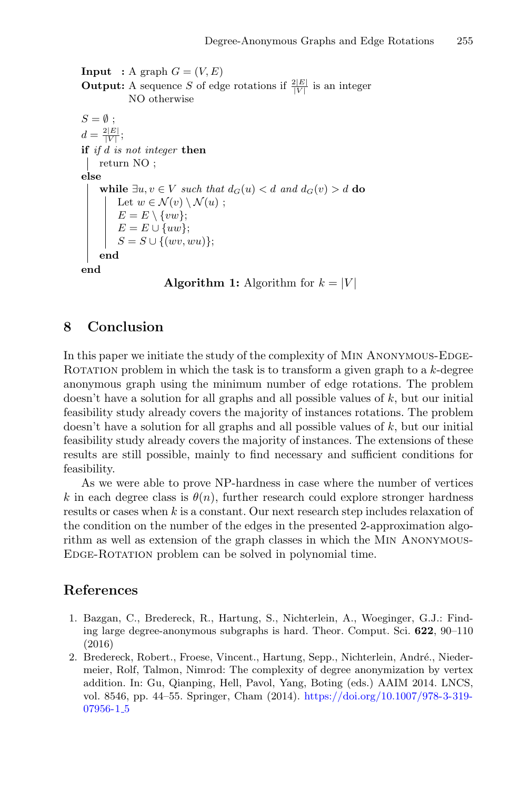**Input** : A graph  $G = (V, E)$ **Output:** A sequence S of edge rotations if  $\frac{2|E|}{|V|}$  is an integer NO otherwise  $S = \emptyset$  ;  $d = \frac{2|E|}{|V|}$ ; **if** *if* d *is not integer* **then** return NO ; **else while**  $∃u, v ∈ V$  *such that*  $d_G(u) < d$  *and*  $d_G(v) > d$  **do** Let  $w \in \mathcal{N}(v) \setminus \mathcal{N}(u)$ ;  $E = E \setminus \{vw\};$  $E = E \cup \{uw\};$  $S = S \cup \{(wv, wu)\};$ **end end**

```
Algorithm 1: Algorithm for k = |V|
```
# <span id="page-13-2"></span>**8 Conclusion**

In this paper we initiate the study of the complexity of MIN ANONYMOUS-EDGE-ROTATION problem in which the task is to transform a given graph to a  $k$ -degree anonymous graph using the minimum number of edge rotations. The problem doesn't have a solution for all graphs and all possible values of  $k$ , but our initial feasibility study already covers the majority of instances rotations. The problem doesn't have a solution for all graphs and all possible values of  $k$ , but our initial feasibility study already covers the majority of instances. The extensions of these results are still possible, mainly to find necessary and sufficient conditions for feasibility.

As we were able to prove NP-hardness in case where the number of vertices k in each degree class is  $\theta(n)$ , further research could explore stronger hardness results or cases when k is a constant. Our next research step includes relaxation of the condition on the number of the edges in the presented 2-approximation algorithm as well as extension of the graph classes in which the Min Anonymous-EDGE-ROTATION problem can be solved in polynomial time.

# **References**

- <span id="page-13-1"></span>1. Bazgan, C., Bredereck, R., Hartung, S., Nichterlein, A., Woeginger, G.J.: Finding large degree-anonymous subgraphs is hard. Theor. Comput. Sci. **622**, 90–110 (2016)
- <span id="page-13-0"></span>2. Bredereck, Robert., Froese, Vincent., Hartung, Sepp., Nichterlein, André., Niedermeier, Rolf, Talmon, Nimrod: The complexity of degree anonymization by vertex addition. In: Gu, Qianping, Hell, Pavol, Yang, Boting (eds.) AAIM 2014. LNCS, vol. 8546, pp. 44–55. Springer, Cham (2014). [https://doi.org/10.1007/978-3-319-](https://doi.org/10.1007/978-3-319-07956-1_5) [07956-1](https://doi.org/10.1007/978-3-319-07956-1_5)\_5